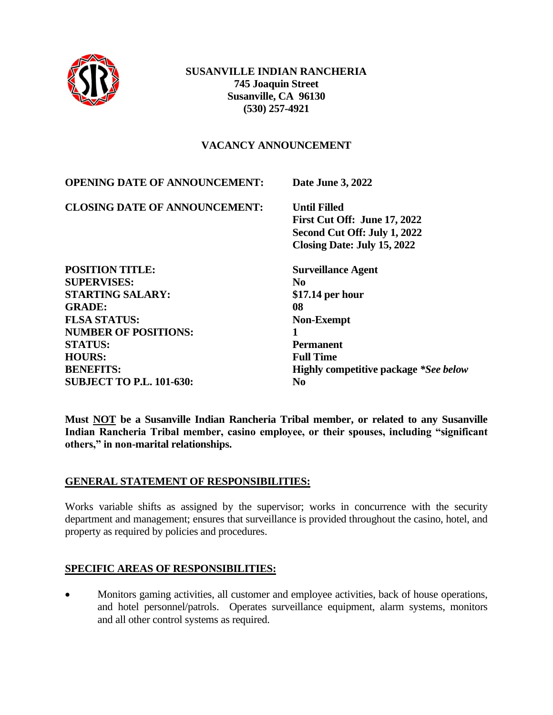

## **VACANCY ANNOUNCEMENT**

| <b>OPENING DATE OF ANNOUNCEMENT:</b> | Date June 3, 2022                            |
|--------------------------------------|----------------------------------------------|
| <b>CLOSING DATE OF ANNOUNCEMENT:</b> | <b>Until Filled</b>                          |
|                                      | First Cut Off: June 17, 2022                 |
|                                      | Second Cut Off: July 1, 2022                 |
|                                      | Closing Date: July 15, 2022                  |
| <b>POSITION TITLE:</b>               | <b>Surveillance Agent</b>                    |
| <b>SUPERVISES:</b>                   | N <sub>0</sub>                               |
| <b>STARTING SALARY:</b>              | $$17.14$ per hour                            |
| <b>GRADE:</b>                        | 08                                           |
| <b>FLSA STATUS:</b>                  | <b>Non-Exempt</b>                            |
| <b>NUMBER OF POSITIONS:</b>          | 1                                            |
| <b>STATUS:</b>                       | <b>Permanent</b>                             |
| <b>HOURS:</b>                        | <b>Full Time</b>                             |
| <b>BENEFITS:</b>                     | <b>Highly competitive package *See below</b> |
| <b>SUBJECT TO P.L. 101-630:</b>      | N <sub>0</sub>                               |
|                                      |                                              |

**Must NOT be a Susanville Indian Rancheria Tribal member, or related to any Susanville Indian Rancheria Tribal member, casino employee, or their spouses, including "significant others," in non-marital relationships.**

#### **GENERAL STATEMENT OF RESPONSIBILITIES:**

Works variable shifts as assigned by the supervisor; works in concurrence with the security department and management; ensures that surveillance is provided throughout the casino, hotel, and property as required by policies and procedures.

#### **SPECIFIC AREAS OF RESPONSIBILITIES:**

• Monitors gaming activities, all customer and employee activities, back of house operations, and hotel personnel/patrols. Operates surveillance equipment, alarm systems, monitors and all other control systems as required.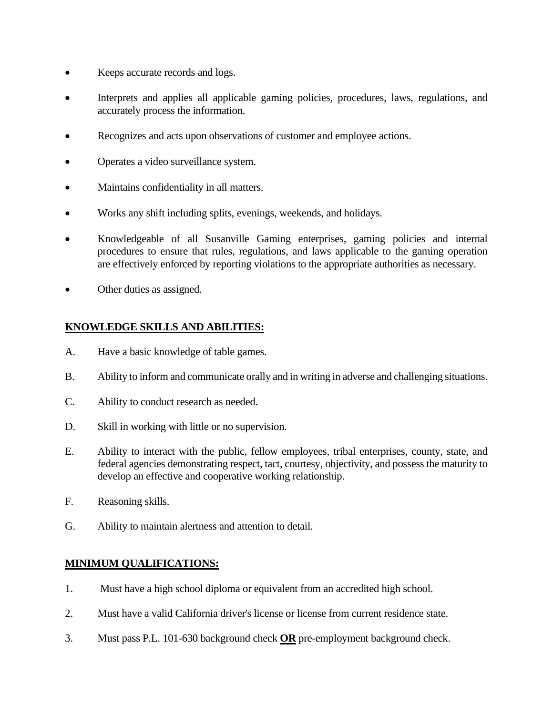- Keeps accurate records and logs.
- Interprets and applies all applicable gaming policies, procedures, laws, regulations, and accurately process the information.
- Recognizes and acts upon observations of customer and employee actions.
- Operates a video surveillance system.
- Maintains confidentiality in all matters.
- Works any shift including splits, evenings, weekends, and holidays.
- Knowledgeable of all Susanville Gaming enterprises, gaming policies and internal procedures to ensure that rules, regulations, and laws applicable to the gaming operation are effectively enforced by reporting violations to the appropriate authorities as necessary.
- Other duties as assigned.

# **KNOWLEDGE SKILLS AND ABILITIES:**

- A. Have a basic knowledge of table games.
- B. Ability to inform and communicate orally and in writing in adverse and challenging situations.
- C. Ability to conduct research as needed.
- D. Skill in working with little or no supervision.
- E. Ability to interact with the public, fellow employees, tribal enterprises, county, state, and federal agencies demonstrating respect, tact, courtesy, objectivity, and possess the maturity to develop an effective and cooperative working relationship.
- F. Reasoning skills.
- G. Ability to maintain alertness and attention to detail.

## **MINIMUM QUALIFICATIONS:**

- 1. Must have a high school diploma or equivalent from an accredited high school.
- 2. Must have a valid California driver's license or license from current residence state.
- 3. Must pass P.L. 101-630 background check **OR** pre-employment background check.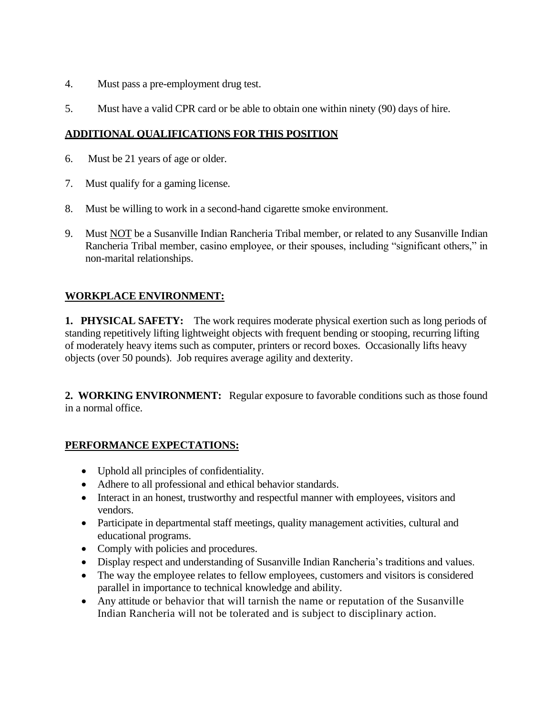- 4. Must pass a pre-employment drug test.
- 5. Must have a valid CPR card or be able to obtain one within ninety (90) days of hire.

## **ADDITIONAL QUALIFICATIONS FOR THIS POSITION**

- 6. Must be 21 years of age or older.
- 7. Must qualify for a gaming license.
- 8. Must be willing to work in a second-hand cigarette smoke environment.
- 9. Must NOT be a Susanville Indian Rancheria Tribal member, or related to any Susanville Indian Rancheria Tribal member, casino employee, or their spouses, including "significant others," in non-marital relationships.

## **WORKPLACE ENVIRONMENT:**

**1. PHYSICAL SAFETY:** The work requires moderate physical exertion such as long periods of standing repetitively lifting lightweight objects with frequent bending or stooping, recurring lifting of moderately heavy items such as computer, printers or record boxes. Occasionally lifts heavy objects (over 50 pounds). Job requires average agility and dexterity.

**2. WORKING ENVIRONMENT:** Regular exposure to favorable conditions such as those found in a normal office.

## **PERFORMANCE EXPECTATIONS:**

- Uphold all principles of confidentiality.
- Adhere to all professional and ethical behavior standards.
- Interact in an honest, trustworthy and respectful manner with employees, visitors and vendors.
- Participate in departmental staff meetings, quality management activities, cultural and educational programs.
- Comply with policies and procedures.
- Display respect and understanding of Susanville Indian Rancheria's traditions and values.
- The way the employee relates to fellow employees, customers and visitors is considered parallel in importance to technical knowledge and ability.
- Any attitude or behavior that will tarnish the name or reputation of the Susanville Indian Rancheria will not be tolerated and is subject to disciplinary action.